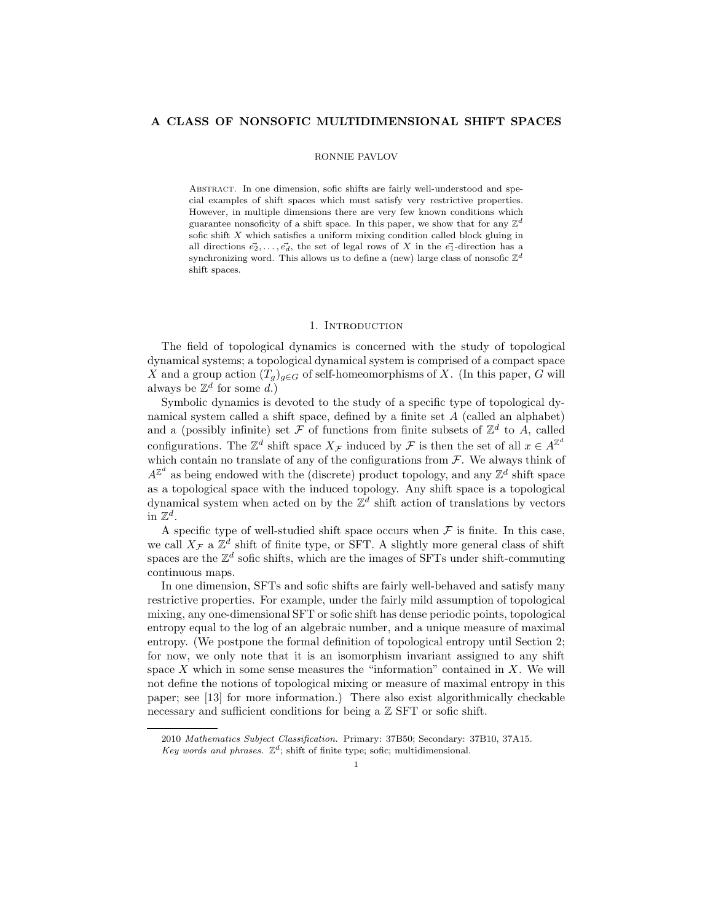# A CLASS OF NONSOFIC MULTIDIMENSIONAL SHIFT SPACES

#### RONNIE PAVLOV

Abstract. In one dimension, sofic shifts are fairly well-understood and special examples of shift spaces which must satisfy very restrictive properties. However, in multiple dimensions there are very few known conditions which guarantee nonsoficity of a shift space. In this paper, we show that for any  $\mathbb{Z}^d$ sofic shift X which satisfies a uniform mixing condition called block gluing in all directions  $\vec{e_2}, \ldots, \vec{e_d}$ , the set of legal rows of X in the  $\vec{e_1}$ -direction has a synchronizing word. This allows us to define a (new) large class of nonsofic  $\mathbb{Z}^d$ shift spaces.

## 1. INTRODUCTION

The field of topological dynamics is concerned with the study of topological dynamical systems; a topological dynamical system is comprised of a compact space X and a group action  $(T_q)_{q\in G}$  of self-homeomorphisms of X. (In this paper, G will always be  $\mathbb{Z}^d$  for some d.)

Symbolic dynamics is devoted to the study of a specific type of topological dynamical system called a shift space, defined by a finite set A (called an alphabet) and a (possibly infinite) set  $\mathcal F$  of functions from finite subsets of  $\mathbb Z^d$  to A, called configurations. The  $\mathbb{Z}^d$  shift space  $X_{\mathcal{F}}$  induced by  $\mathcal{F}$  is then the set of all  $x \in A^{\mathbb{Z}^d}$ which contain no translate of any of the configurations from  $\mathcal F$ . We always think of  $A^{\mathbb{Z}^d}$  as being endowed with the (discrete) product topology, and any  $\mathbb{Z}^d$  shift space as a topological space with the induced topology. Any shift space is a topological dynamical system when acted on by the  $\mathbb{Z}^d$  shift action of translations by vectors in  $\mathbb{Z}^d$ .

A specific type of well-studied shift space occurs when  $\mathcal F$  is finite. In this case, we call  $X_{\mathcal{F}}$  a  $\mathbb{Z}^d$  shift of finite type, or SFT. A slightly more general class of shift spaces are the  $\mathbb{Z}^d$  sofic shifts, which are the images of SFTs under shift-commuting continuous maps.

In one dimension, SFTs and sofic shifts are fairly well-behaved and satisfy many restrictive properties. For example, under the fairly mild assumption of topological mixing, any one-dimensional SFT or sofic shift has dense periodic points, topological entropy equal to the log of an algebraic number, and a unique measure of maximal entropy. (We postpone the formal definition of topological entropy until Section 2; for now, we only note that it is an isomorphism invariant assigned to any shift space  $X$  which in some sense measures the "information" contained in  $X$ . We will not define the notions of topological mixing or measure of maximal entropy in this paper; see [13] for more information.) There also exist algorithmically checkable necessary and sufficient conditions for being a  $\mathbb Z$  SFT or sofic shift.

<sup>2010</sup> Mathematics Subject Classification. Primary: 37B50; Secondary: 37B10, 37A15.

Key words and phrases.  $\mathbb{Z}^d$ ; shift of finite type; sofic; multidimensional.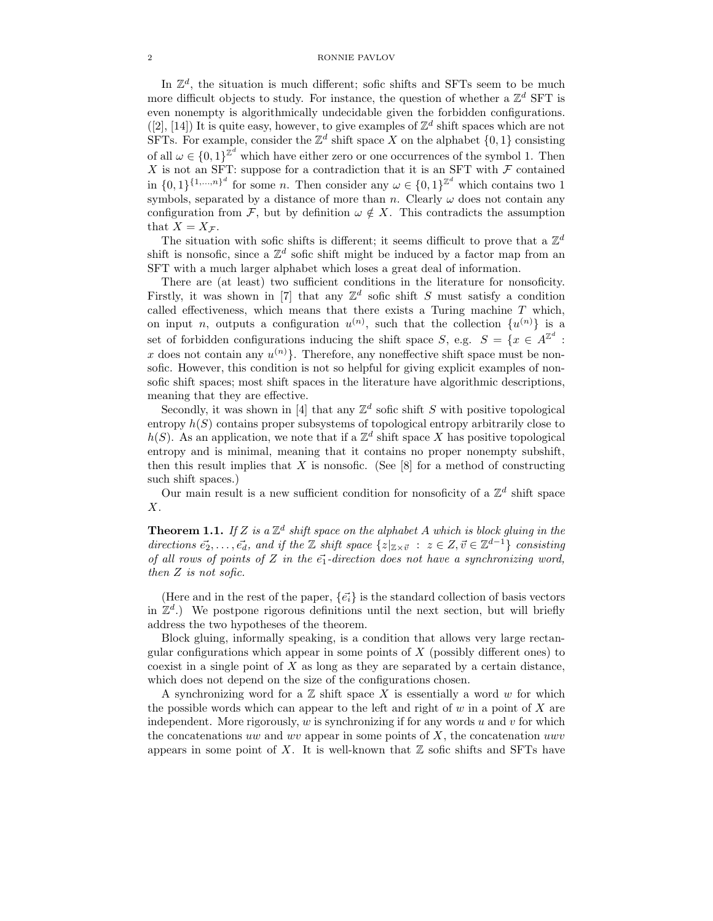### 2 RONNIE PAVLOV

In  $\mathbb{Z}^d$ , the situation is much different; sofic shifts and SFTs seem to be much more difficult objects to study. For instance, the question of whether a  $\mathbb{Z}^d$  SFT is even nonempty is algorithmically undecidable given the forbidden configurations. ([2], [14]) It is quite easy, however, to give examples of  $\mathbb{Z}^d$  shift spaces which are not SFTs. For example, consider the  $\mathbb{Z}^d$  shift space X on the alphabet  $\{0,1\}$  consisting of all  $\omega \in \{0,1\}^{\mathbb{Z}^d}$  which have either zero or one occurrences of the symbol 1. Then X is not an SFT: suppose for a contradiction that it is an SFT with  $\mathcal F$  contained in  $\{0,1\}^{\{1,\ldots,n\}^d}$  for some *n*. Then consider any  $\omega \in \{0,1\}^{\mathbb{Z}^d}$  which contains two 1 symbols, separated by a distance of more than n. Clearly  $\omega$  does not contain any configuration from F, but by definition  $\omega \notin X$ . This contradicts the assumption that  $X = X_{\mathcal{F}}$ .

The situation with sofic shifts is different; it seems difficult to prove that a  $\mathbb{Z}^d$ shift is nonsofic, since a  $\mathbb{Z}^d$  sofic shift might be induced by a factor map from an SFT with a much larger alphabet which loses a great deal of information.

There are (at least) two sufficient conditions in the literature for nonsoficity. Firstly, it was shown in [7] that any  $\mathbb{Z}^d$  sofic shift S must satisfy a condition called effectiveness, which means that there exists a Turing machine  $T$  which, on input *n*, outputs a configuration  $u^{(n)}$ , such that the collection  $\{u^{(n)}\}$  is a set of forbidden configurations inducing the shift space S, e.g.  $S = \{x \in A^{\mathbb{Z}^d} :$ x does not contain any  $u^{(n)}$ . Therefore, any noneffective shift space must be nonsofic. However, this condition is not so helpful for giving explicit examples of nonsofic shift spaces; most shift spaces in the literature have algorithmic descriptions, meaning that they are effective.

Secondly, it was shown in [4] that any  $\mathbb{Z}^d$  sofic shift S with positive topological entropy  $h(S)$  contains proper subsystems of topological entropy arbitrarily close to  $h(S)$ . As an application, we note that if a  $\mathbb{Z}^d$  shift space X has positive topological entropy and is minimal, meaning that it contains no proper nonempty subshift, then this result implies that  $X$  is nonsofic. (See  $[8]$  for a method of constructing such shift spaces.)

Our main result is a new sufficient condition for nonsoficity of a  $\mathbb{Z}^d$  shift space X.

**Theorem 1.1.** If Z is a  $\mathbb{Z}^d$  shift space on the alphabet A which is block gluing in the directions  $\vec{e_2}, \ldots, \vec{e_d}$ , and if the  $\mathbb Z$  shift space  $\{z|_{\mathbb Z \times \vec{v}} : z \in \mathbb Z, \vec{v} \in \mathbb Z^{d-1}\}$  consisting of all rows of points of Z in the  $\vec{e_1}$ -direction does not have a synchronizing word, then Z is not sofic.

(Here and in the rest of the paper,  $\{\vec{e}_i\}$  is the standard collection of basis vectors in  $\mathbb{Z}^d$ .) We postpone rigorous definitions until the next section, but will briefly address the two hypotheses of the theorem.

Block gluing, informally speaking, is a condition that allows very large rectangular configurations which appear in some points of  $X$  (possibly different ones) to coexist in a single point of X as long as they are separated by a certain distance, which does not depend on the size of the configurations chosen.

A synchronizing word for a  $\mathbb Z$  shift space X is essentially a word w for which the possible words which can appear to the left and right of  $w$  in a point of  $X$  are independent. More rigorously,  $w$  is synchronizing if for any words  $u$  and  $v$  for which the concatenations uw and wv appear in some points of  $X$ , the concatenation uwv appears in some point of X. It is well-known that  $\mathbb Z$  sofic shifts and SFTs have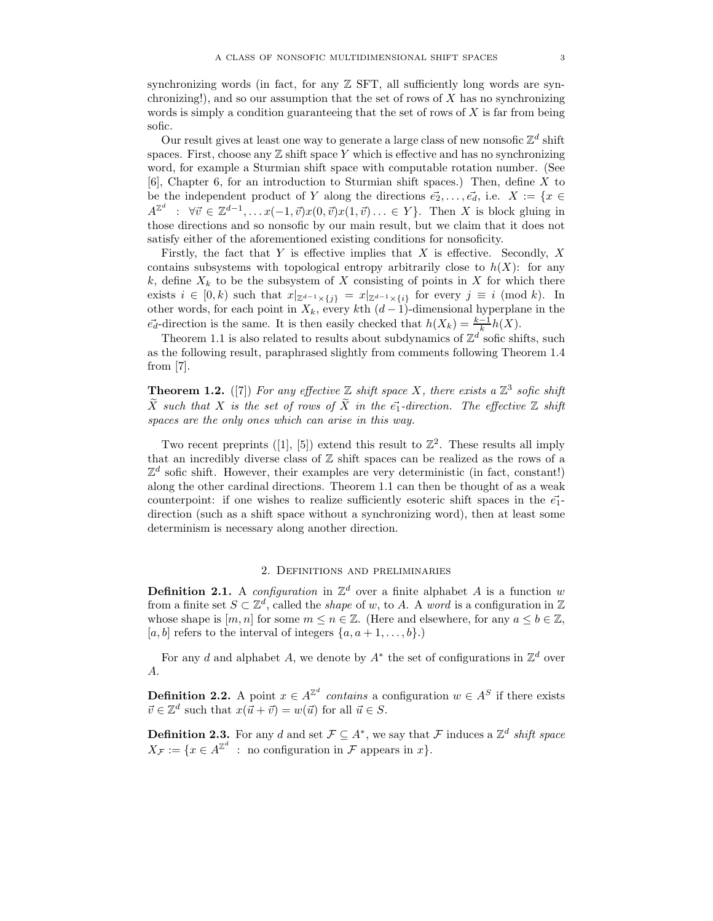synchronizing words (in fact, for any  $\mathbb Z$  SFT, all sufficiently long words are synchronizing!), and so our assumption that the set of rows of  $X$  has no synchronizing words is simply a condition guaranteeing that the set of rows of  $X$  is far from being sofic.

Our result gives at least one way to generate a large class of new nonsofic  $\mathbb{Z}^d$  shift spaces. First, choose any  $\mathbb Z$  shift space Y which is effective and has no synchronizing word, for example a Sturmian shift space with computable rotation number. (See [6], Chapter 6, for an introduction to Sturmian shift spaces.) Then, define X to be the independent product of Y along the directions  $\vec{e_2}, \ldots, \vec{e_d}$ , i.e.  $X := \{x \in$  $A^{\mathbb{Z}^d}$  :  $\forall \vec{v} \in \mathbb{Z}^{d-1}, \dots x(-1, \vec{v})x(0, \vec{v})x(1, \vec{v})\dots \in Y\}$ . Then X is block gluing in those directions and so nonsofic by our main result, but we claim that it does not satisfy either of the aforementioned existing conditions for nonsoficity.

Firstly, the fact that Y is effective implies that X is effective. Secondly,  $X$ contains subsystems with topological entropy arbitrarily close to  $h(X)$ : for any k, define  $X_k$  to be the subsystem of X consisting of points in X for which there exists  $i \in [0, k)$  such that  $x|_{\mathbb{Z}^{d-1} \times \{j\}} = x|_{\mathbb{Z}^{d-1} \times \{i\}}$  for every  $j \equiv i \pmod{k}$ . In other words, for each point in  $X_k$ , every kth  $(d-1)$ -dimensional hyperplane in the  $\vec{e_d}$ -direction is the same. It is then easily checked that  $h(X_k) = \frac{k-1}{k}h(X)$ .

Theorem 1.1 is also related to results about subdynamics of  $\mathbb{Z}^d$  sofic shifts, such as the following result, paraphrased slightly from comments following Theorem 1.4 from [7].

**Theorem 1.2.** ([7]) For any effective  $\mathbb Z$  shift space X, there exists a  $\mathbb Z^3$  sofic shift  $\tilde{X}$  such that X is the set of rows of  $\tilde{X}$  in the  $\vec{e}_1$ -direction. The effective Z shift spaces are the only ones which can arise in this way.

Two recent preprints ([1], [5]) extend this result to  $\mathbb{Z}^2$ . These results all imply that an incredibly diverse class of  $\mathbb Z$  shift spaces can be realized as the rows of a  $\mathbb{Z}^d$  sofic shift. However, their examples are very deterministic (in fact, constant!) along the other cardinal directions. Theorem 1.1 can then be thought of as a weak counterpoint: if one wishes to realize sufficiently esoteric shift spaces in the  $\vec{e}_1$ direction (such as a shift space without a synchronizing word), then at least some determinism is necessary along another direction.

## 2. Definitions and preliminaries

**Definition 2.1.** A configuration in  $\mathbb{Z}^d$  over a finite alphabet A is a function w from a finite set  $S \subset \mathbb{Z}^d$ , called the *shape* of w, to A. A word is a configuration in  $\mathbb{Z}$ whose shape is  $[m, n]$  for some  $m \leq n \in \mathbb{Z}$ . (Here and elsewhere, for any  $a \leq b \in \mathbb{Z}$ , [a, b] refers to the interval of integers  $\{a, a+1, \ldots, b\}$ .)

For any d and alphabet A, we denote by  $A^*$  the set of configurations in  $\mathbb{Z}^d$  over A.

**Definition 2.2.** A point  $x \in A^{\mathbb{Z}^d}$  contains a configuration  $w \in A^S$  if there exists  $\vec{v} \in \mathbb{Z}^d$  such that  $x(\vec{u} + \vec{v}) = w(\vec{u})$  for all  $\vec{u} \in S$ .

**Definition 2.3.** For any d and set  $\mathcal{F} \subseteq A^*$ , we say that  $\mathcal{F}$  induces a  $\mathbb{Z}^d$  shift space  $X_{\mathcal{F}} := \{x \in A^{\mathbb{Z}^d} \text{ : no configuration in } \mathcal{F} \text{ appears in } x\}.$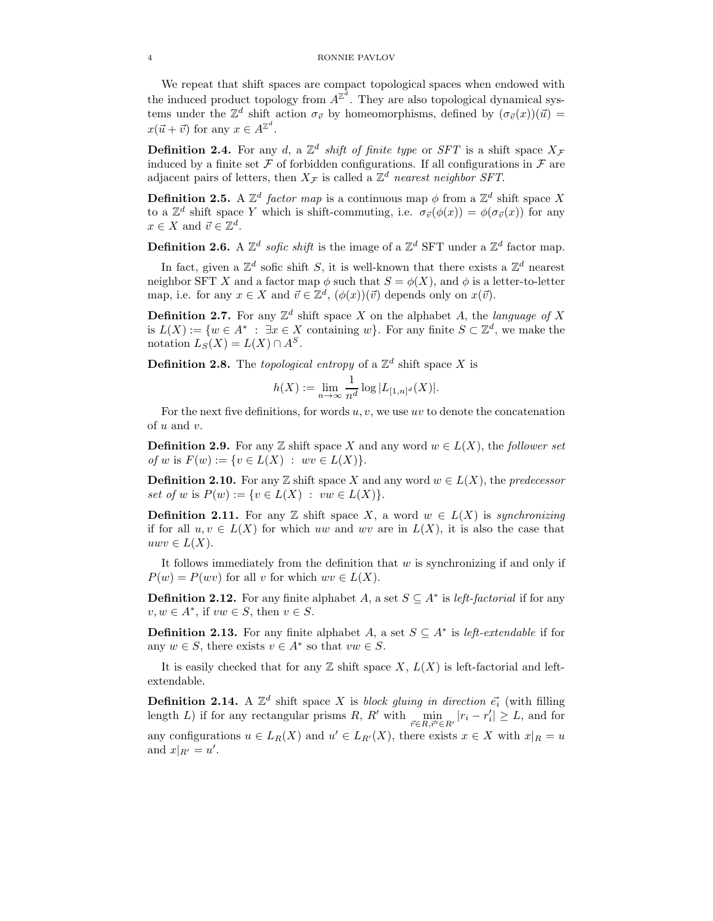We repeat that shift spaces are compact topological spaces when endowed with the induced product topology from  $A^{\mathbb{Z}^d}$ . They are also topological dynamical systems under the  $\mathbb{Z}^d$  shift action  $\sigma_{\vec{v}}$  by homeomorphisms, defined by  $(\sigma_{\vec{v}}(x))(\vec{u}) =$  $x(\vec{u} + \vec{v})$  for any  $x \in A^{\mathbb{Z}^d}$ .

**Definition 2.4.** For any d, a  $\mathbb{Z}^d$  shift of finite type or SFT is a shift space  $X_{\mathcal{F}}$ induced by a finite set  $\mathcal F$  of forbidden configurations. If all configurations in  $\mathcal F$  are adjacent pairs of letters, then  $X_{\mathcal{F}}$  is called a  $\mathbb{Z}^d$  nearest neighbor SFT.

**Definition 2.5.** A  $\mathbb{Z}^d$  factor map is a continuous map  $\phi$  from a  $\mathbb{Z}^d$  shift space X to a  $\mathbb{Z}^d$  shift space Y which is shift-commuting, i.e.  $\sigma_{\vec{v}}(\phi(x)) = \phi(\sigma_{\vec{v}}(x))$  for any  $x \in X$  and  $\vec{v} \in \mathbb{Z}^d$ .

**Definition 2.6.** A  $\mathbb{Z}^d$  sofic shift is the image of a  $\mathbb{Z}^d$  SFT under a  $\mathbb{Z}^d$  factor map.

In fact, given a  $\mathbb{Z}^d$  sofic shift S, it is well-known that there exists a  $\mathbb{Z}^d$  nearest neighbor SFT X and a factor map  $\phi$  such that  $S = \phi(X)$ , and  $\phi$  is a letter-to-letter map, i.e. for any  $x \in X$  and  $\vec{v} \in \mathbb{Z}^d$ ,  $(\phi(x))(\vec{v})$  depends only on  $x(\vec{v})$ .

**Definition 2.7.** For any  $\mathbb{Z}^d$  shift space X on the alphabet A, the language of X is  $L(X) := \{w \in A^* : \exists x \in X \text{ containing } w\}.$  For any finite  $S \subset \mathbb{Z}^d$ , we make the notation  $L_S(X) = L(X) \cap A^S$ .

**Definition 2.8.** The topological entropy of a  $\mathbb{Z}^d$  shift space X is

$$
h(X):=\lim_{n\to\infty}\frac{1}{n^d}\log|L_{[1,n]^d}(X)|.
$$

For the next five definitions, for words  $u, v$ , we use uv to denote the concatenation of u and v.

**Definition 2.9.** For any  $\mathbb{Z}$  shift space X and any word  $w \in L(X)$ , the follower set of w is  $F(w) := \{v \in L(X) : wv \in L(X)\}.$ 

**Definition 2.10.** For any Z shift space X and any word  $w \in L(X)$ , the predecessor set of w is  $P(w) := \{v \in L(X) : vw \in L(X)\}.$ 

**Definition 2.11.** For any Z shift space X, a word  $w \in L(X)$  is synchronizing if for all  $u, v \in L(X)$  for which uw and wv are in  $L(X)$ , it is also the case that  $uwv \in L(X)$ .

It follows immediately from the definition that  $w$  is synchronizing if and only if  $P(w) = P(wv)$  for all v for which  $wv \in L(X)$ .

**Definition 2.12.** For any finite alphabet A, a set  $S \subseteq A^*$  is *left-factorial* if for any  $v, w \in A^*$ , if  $vw \in S$ , then  $v \in S$ .

**Definition 2.13.** For any finite alphabet A, a set  $S \subseteq A^*$  is left-extendable if for any  $w \in S$ , there exists  $v \in A^*$  so that  $vw \in S$ .

It is easily checked that for any  $\mathbb Z$  shift space  $X, L(X)$  is left-factorial and leftextendable.

**Definition 2.14.** A  $\mathbb{Z}^d$  shift space X is block gluing in direction  $\vec{e_i}$  (with filling length L) if for any rectangular prisms R, R' with  $\min_{\vec{r} \in R, \vec{r}' \in R'} |r_i - r'_i| \geq L$ , and for any configurations  $u \in L_R(X)$  and  $u' \in L_{R'}(X)$ , there exists  $x \in X$  with  $x|_R = u$ and  $x|_{R'} = u'.$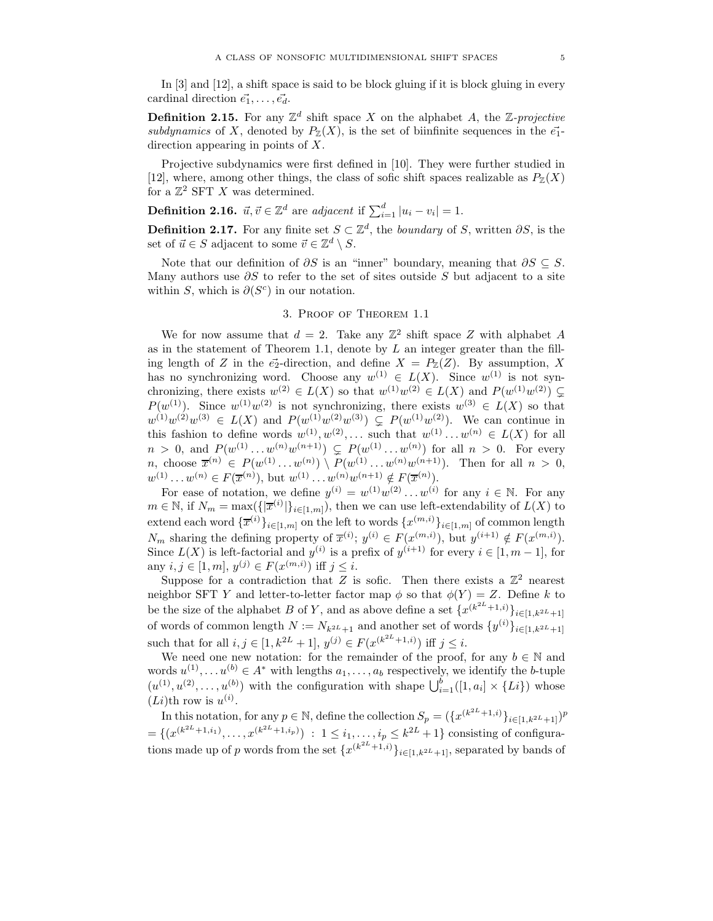In [3] and [12], a shift space is said to be block gluing if it is block gluing in every cardinal direction  $\vec{e_1}, \ldots, \vec{e_d}$ .

**Definition 2.15.** For any  $\mathbb{Z}^d$  shift space X on the alphabet A, the Z-projective subdynamics of X, denoted by  $P_{\mathbb{Z}}(X)$ , is the set of biinfinite sequences in the  $\vec{e}_1$ direction appearing in points of  $X$ .

Projective subdynamics were first defined in [10]. They were further studied in [12], where, among other things, the class of sofic shift spaces realizable as  $P_{\mathbb{Z}}(X)$ for a  $\mathbb{Z}^2$  SFT X was determined.

**Definition 2.16.**  $\vec{u}, \vec{v} \in \mathbb{Z}^d$  are adjacent if  $\sum_{i=1}^d |u_i - v_i| = 1$ .

**Definition 2.17.** For any finite set  $S \subset \mathbb{Z}^d$ , the *boundary* of S, written  $\partial S$ , is the set of  $\vec{u} \in S$  adjacent to some  $\vec{v} \in \mathbb{Z}^d \setminus S$ .

Note that our definition of  $\partial S$  is an "inner" boundary, meaning that  $\partial S \subseteq S$ . Many authors use  $\partial S$  to refer to the set of sites outside S but adjacent to a site within S, which is  $\partial(S^c)$  in our notation.

# 3. Proof of Theorem 1.1

We for now assume that  $d = 2$ . Take any  $\mathbb{Z}^2$  shift space Z with alphabet A as in the statement of Theorem 1.1, denote by  $L$  an integer greater than the filling length of Z in the  $\vec{e}_2$ -direction, and define  $X = P_{\mathbb{Z}}(Z)$ . By assumption, X has no synchronizing word. Choose any  $w^{(1)} \in L(X)$ . Since  $w^{(1)}$  is not synchronizing, there exists  $w^{(2)} \in L(X)$  so that  $w^{(1)}w^{(2)} \in L(X)$  and  $P(w^{(1)}w^{(2)}) \subsetneq$  $P(w^{(1)})$ . Since  $w^{(1)}w^{(2)}$  is not synchronizing, there exists  $w^{(3)} \in L(X)$  so that  $w^{(1)}w^{(2)}w^{(3)} \in L(X)$  and  $P(w^{(1)}w^{(2)}w^{(3)}) \subsetneq P(w^{(1)}w^{(2)})$ . We can continue in this fashion to define words  $w^{(1)}, w^{(2)}, \ldots$  such that  $w^{(1)} \ldots w^{(n)} \in L(X)$  for all  $n > 0$ , and  $P(w^{(1)} \dots w^{(n)}w^{(n+1)}) \subsetneq P(w^{(1)} \dots w^{(n)})$  for all  $n > 0$ . For every *n*, choose  $\bar{x}^{(n)} \in P(w^{(1)} \dots w^{(n)}) \setminus P(w^{(1)} \dots w^{(n)}w^{(n+1)})$ . Then for all  $n > 0$ ,  $w^{(1)} \dots w^{(n)} \in F(\overline{x}^{(n)})$ , but  $w^{(1)} \dots w^{(n)} w^{(n+1)} \notin F(\overline{x}^{(n)})$ .

For ease of notation, we define  $y^{(i)} = w^{(1)}w^{(2)} \dots w^{(i)}$  for any  $i \in \mathbb{N}$ . For any  $m \in \mathbb{N}$ , if  $N_m = \max(\{|\overline{x}^{(i)}|\}_{i \in [1,m]})$ , then we can use left-extendability of  $L(X)$  to extend each word  $\{\overline{x}^{(i)}\}_{i\in [1,m]}$  on the left to words  $\{x^{(m,i)}\}_{i\in [1,m]}$  of common length  $N_m$  sharing the defining property of  $\overline{x}^{(i)}$ ;  $y^{(i)} \in F(x^{(m,i)})$ , but  $y^{(i+1)} \notin F(x^{(m,i)})$ . Since  $L(X)$  is left-factorial and  $y^{(i)}$  is a prefix of  $y^{(i+1)}$  for every  $i \in [1, m-1]$ , for any  $i, j \in [1, m], y^{(j)} \in F(x^{(m,i)})$  iff  $j \leq i$ .

Suppose for a contradiction that Z is sofic. Then there exists a  $\mathbb{Z}^2$  nearest neighbor SFT Y and letter-to-letter factor map  $\phi$  so that  $\phi(Y) = Z$ . Define k to be the size of the alphabet B of Y, and as above define a set  $\{x^{(k^{2L}+1,i)}\}_{i\in[1,k^{2L}+1]}$ of words of common length  $N := N_{k^{2L}+1}$  and another set of words  $\{y^{(i)}\}_{i \in [1, k^{2L}+1]}$ such that for all  $i, j \in [1, k^{2L} + 1], y^{(j)} \in F(x^{(k^{2L} + 1, i)})$  iff  $j \leq i$ .

We need one new notation: for the remainder of the proof, for any  $b \in \mathbb{N}$  and words  $u^{(1)}, \ldots, u^{(b)} \in A^*$  with lengths  $a_1, \ldots, a_b$  respectively, we identify the b-tuple  $(u^{(1)}, u^{(2)}, \ldots, u^{(b)})$  with the configuration with shape  $\bigcup_{i=1}^b ([1, a_i] \times \{Li\})$  whose  $(Li)$ th row is  $u^{(i)}$ .

In this notation, for any  $p \in \mathbb{N}$ , define the collection  $S_p = (\{x^{(k^{2L}+1,i)}\}_{i \in [1,k^{2L}+1]})^p$  $=\{(x^{(k^{2L}+1,i_1)},...,x^{(k^{2L}+1,i_p)}) : 1 \leq i_1,...,i_p \leq k^{2L}+1\}$  consisting of configurations made up of p words from the set  $\{x^{(k^{2L}+1,i)}\}_{i\in[1,k^{2L}+1]}$ , separated by bands of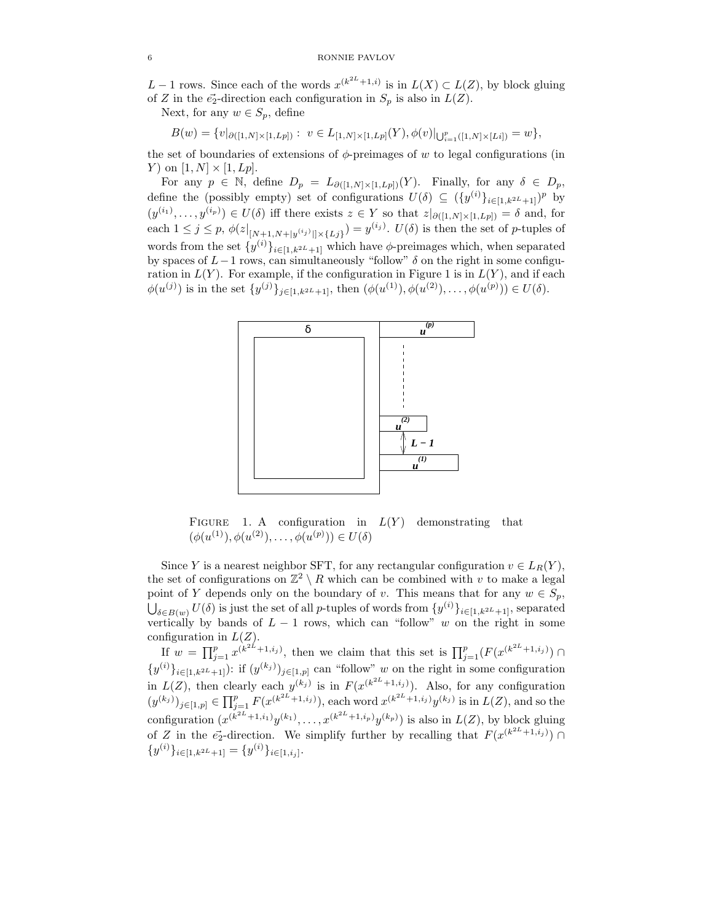L − 1 rows. Since each of the words  $x^{(k^{2L}+1,i)}$  is in  $L(X) \subset L(Z)$ , by block gluing of Z in the  $\vec{e_2}$ -direction each configuration in  $S_p$  is also in  $L(Z)$ .

Next, for any  $w \in S_p$ , define

$$
B(w) = \{v|_{\partial([1,N]\times[1,L_p])}:\ v\in L_{[1,N]\times[1,L_p]}(Y), \phi(v)|_{\bigcup_{i=1}^p([1,N]\times[L_i])} = w\},\
$$

the set of boundaries of extensions of  $\phi$ -preimages of w to legal configurations (in Y) on  $[1, N] \times [1, Lp]$ .

For any  $p \in \mathbb{N}$ , define  $D_p = L_{\partial([1,N]\times[1,L_p])}(Y)$ . Finally, for any  $\delta \in D_p$ , define the (possibly empty) set of configurations  $U(\delta) \subseteq (\{y^{(i)}\}_{i\in[1,k^{2L}+1]})^p$  by  $(y^{(i_1)},...,y^{(i_p)}) \in U(\delta)$  iff there exists  $z \in Y$  so that  $z|_{\partial([1,N] \times [1,L_p])} = \delta$  and, for each  $1 \leq j \leq p$ ,  $\phi(z|_{[N+1,N+|y^{(i_j)}|]\times\{L_j\}}) = y^{(i_j)}$ .  $U(\delta)$  is then the set of *p*-tuples of words from the set  $\{y^{(i)}\}_{i\in [1,k^{2L}+1]}$  which have  $\phi$ -preimages which, when separated by spaces of  $L-1$  rows, can simultaneously "follow"  $\delta$  on the right in some configuration in  $L(Y)$ . For example, if the configuration in Figure 1 is in  $L(Y)$ , and if each  $\phi(u^{(j)})$  is in the set  $\{y^{(j)}\}_{j\in[1,k^{2L}+1]}$ , then  $(\phi(u^{(1)}), \phi(u^{(2)}), \ldots, \phi(u^{(p)})) \in U(\delta)$ .



FIGURE 1. A configuration in  $L(Y)$  demonstrating that  $(\phi(u^{(1)}), \phi(u^{(2)}), \ldots, \phi(u^{(p)})) \in U(\delta)$ 

Since Y is a nearest neighbor SFT, for any rectangular configuration  $v \in L_R(Y)$ , the set of configurations on  $\mathbb{Z}^2 \setminus R$  which can be combined with v to make a legal point of Y depends only on the boundary of v. This means that for any  $w \in S_p$ ,  $\delta \in B(w)$  U( $\delta$ ) is just the set of all p-tuples of words from  $\{y^{(i)}\}_{i\in [1,k^{2L}+1]},$  separated vertically by bands of  $L - 1$  rows, which can "follow" w on the right in some configuration in  $L(Z)$ .

If  $w = \prod_{j=1}^p x^{(k^{2L}+1,i_j)}$ , then we claim that this set is  $\prod_{j=1}^p (F(x^{(k^{2L}+1,i_j)}) \cap$  $\{y^{(i)}\}_{i\in[1,k^{2L}+1]}$ : if  $(y^{(k_j)})_{j\in[1,p]}$  can "follow" w on the right in some configuration in  $L(Z)$ , then clearly each  $y^{(k_j)}$  is in  $F(x^{(k^{2L}+1,i_j)})$ . Also, for any configuration  $(y^{(k_j)})_{j\in[1,p]}\in \prod_{j=1}^p F(x^{(k^{2L}+1,i_j)}),$  each word  $x^{(k^{2L}+1,i_j)}y^{(k_j)}$  is in  $L(Z)$ , and so the configuration  $(x^{(k^{2L}+1,i_1)}y^{(k_1)},...,x^{(k^{2L}+1,i_p)}y^{(k_p)})$  is also in  $L(Z)$ , by block gluing of Z in the  $\vec{e_2}$ -direction. We simplify further by recalling that  $F(x^{(k^{2L}+1,i_j)}) \cap$  $\{y^{(i)}\}_{i\in[1,k^{2L}+1]} = \{y^{(i)}\}_{i\in[1,i_j]}.$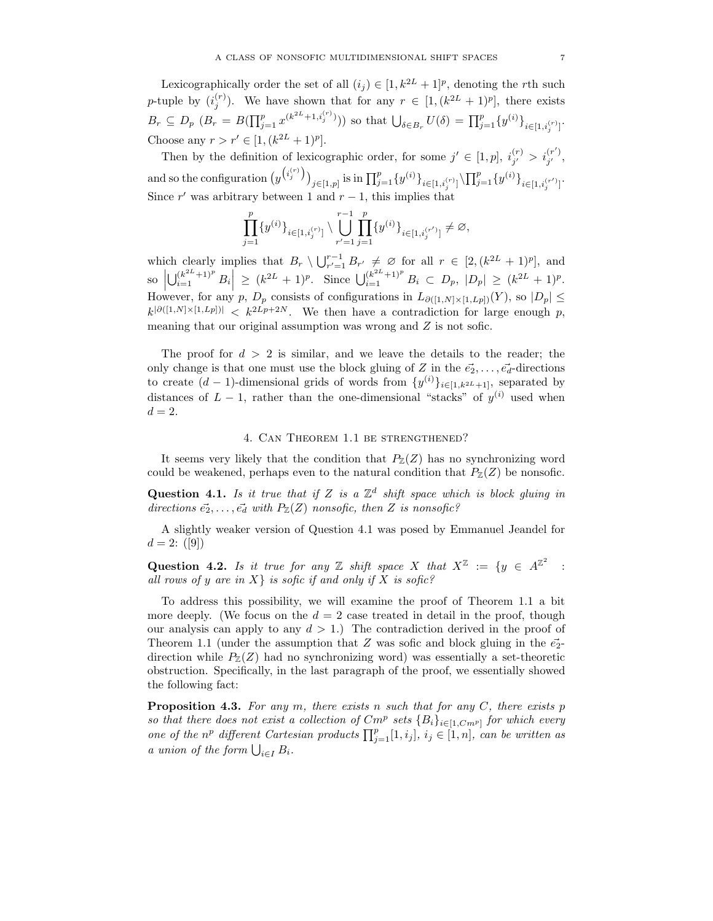Lexicographically order the set of all  $(i_j) \in [1, k^{2L} + 1]^p$ , denoting the rth such p-tuple by  $(i_j^{(r)})$ . We have shown that for any  $r \in [1, (k^{2L} + 1)^p]$ , there exists  $B_r \subseteq D_p \ (B_r = B(\prod_{j=1}^p x^{(k^{2L}+1,i_j^{(r)})}))$  so that  $\bigcup_{\delta \in B_r} U(\delta) = \prod_{j=1}^p \{y^{(i)}\}_{i \in [1,i_j^{(r)}]}$ . Choose any  $r > r' \in [1, (k^{2L} + 1)^p]$ .

Then by the definition of lexicographic order, for some  $j' \in [1, p]$ ,  $i_{j'}^{(r)} > i_{j'}^{(r')}$ , and so the configuration  $(y$  $\binom{i_j^{(r)}}{j}$ <sub> $j \in [1,p]$ </sub> is in  $\prod_{j=1}^p \{y^{(i)}\}_{i \in [1,i_j^{(r)}]} \backslash \prod_{j=1}^p \{y^{(i)}\}_{i \in [1,i_j^{(r')}]}$ . Since r' was arbitrary between 1 and  $r - 1$ , this implies that

$$
\prod_{j=1}^p \{y^{(i)}\}_{i \in [1, i_j^{(r)}]} \setminus \bigcup_{r'=1}^{r-1} \prod_{j=1}^p \{y^{(i)}\}_{i \in [1, i_j^{(r')}]}\neq \varnothing,
$$

which clearly implies that  $B_r \setminus \bigcup_{r'=1}^{r-1} B_{r'} \neq \emptyset$  for all  $r \in [2, (k^{2L} + 1)^p]$ , and  $\mathbf{so}$  $\left|\bigcup_{i=1}^{(k^{2L}+1)^p} B_i\right| \geq (k^{2L}+1)^p$ . Since  $\bigcup_{i=1}^{(k^{2L}+1)^p} B_i \subset D_p$ ,  $|D_p| \geq (k^{2L}+1)^p$ . However, for any p,  $D_p$  consists of configurations in  $L_{\partial([1,N]\times[1,L_p])}(Y)$ , so  $|D_p| \leq$  $k^{|\partial([1,N]\times[1,L_p])|} < k^{2L_p+2N}$ . We then have a contradiction for large enough p, meaning that our original assumption was wrong and Z is not sofic.

The proof for  $d > 2$  is similar, and we leave the details to the reader; the only change is that one must use the block gluing of Z in the  $\vec{e}_2, \ldots, \vec{e}_d$ -directions to create  $(d-1)$ -dimensional grids of words from  $\{y^{(i)}\}_{i\in[1,k^{2L}+1]}$ , separated by distances of  $L-1$ , rather than the one-dimensional "stacks" of  $y^{(i)}$  used when  $d=2.$ 

### 4. Can Theorem 1.1 be strengthened?

It seems very likely that the condition that  $P_{\mathbb{Z}}(Z)$  has no synchronizing word could be weakened, perhaps even to the natural condition that  $P_{\mathbb{Z}}(Z)$  be nonsofic.

Question 4.1. Is it true that if Z is a  $\mathbb{Z}^d$  shift space which is block gluing in directions  $\vec{e_2}, \ldots, \vec{e_d}$  with  $P_{\mathbb{Z}}(Z)$  nonsofic, then Z is nonsofic?

A slightly weaker version of Question 4.1 was posed by Emmanuel Jeandel for  $d = 2: ([9])$ 

Question 4.2. Is it true for any Z shift space X that  $X^{\mathbb{Z}} := \{y \in A^{\mathbb{Z}^2}\}$ : all rows of y are in  $X$  is sofic if and only if X is sofic?

To address this possibility, we will examine the proof of Theorem 1.1 a bit more deeply. (We focus on the  $d = 2$  case treated in detail in the proof, though our analysis can apply to any  $d > 1$ .) The contradiction derived in the proof of Theorem 1.1 (under the assumption that Z was sofic and block gluing in the  $\vec{e}_2$ direction while  $P_{\mathbb{Z}}(Z)$  had no synchronizing word) was essentially a set-theoretic obstruction. Specifically, in the last paragraph of the proof, we essentially showed the following fact:

**Proposition 4.3.** For any  $m$ , there exists n such that for any  $C$ , there exists  $p$ so that there does not exist a collection of  $Cm^p$  sets  ${B_i}_{i \in [1, Cm^p]}$  for which every one of the  $n^p$  different Cartesian products  $\prod_{j=1}^p [1, i_j]$ ,  $i_j \in [1, n]$ , can be written as a union of the form  $\bigcup_{i\in I} B_i$ .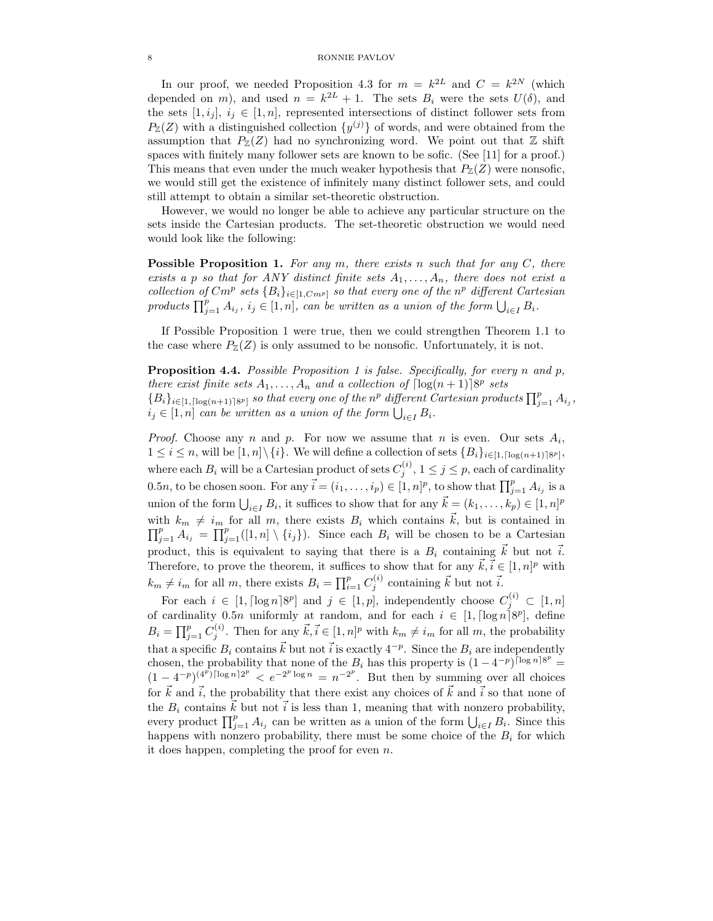#### 8 RONNIE PAVLOV

In our proof, we needed Proposition 4.3 for  $m = k^{2L}$  and  $C = k^{2N}$  (which depended on m), and used  $n = k^{2L} + 1$ . The sets  $B_i$  were the sets  $U(\delta)$ , and the sets  $[1, i_j], i_j \in [1, n]$ , represented intersections of distinct follower sets from  $P_{\mathbb{Z}}(Z)$  with a distinguished collection  $\{y^{(j)}\}$  of words, and were obtained from the assumption that  $P_{\mathbb{Z}}(Z)$  had no synchronizing word. We point out that  $\mathbb Z$  shift spaces with finitely many follower sets are known to be sofic. (See [11] for a proof.) This means that even under the much weaker hypothesis that  $P_{\mathbb{Z}}(Z)$  were nonsofic, we would still get the existence of infinitely many distinct follower sets, and could still attempt to obtain a similar set-theoretic obstruction.

However, we would no longer be able to achieve any particular structure on the sets inside the Cartesian products. The set-theoretic obstruction we would need would look like the following:

**Possible Proposition 1.** For any  $m$ , there exists n such that for any  $C$ , there exists a p so that for ANY distinct finite sets  $A_1, \ldots, A_n$ , there does not exist a collection of  $Cm^p$  sets  ${B_i}_{i \in [1, Cm^p]}$  so that every one of the  $n^p$  different Cartesian products  $\prod_{j=1}^p A_{i_j}$ ,  $i_j \in [1, n]$ , can be written as a union of the form  $\bigcup_{i \in I} B_i$ .

If Possible Proposition 1 were true, then we could strengthen Theorem 1.1 to the case where  $P_{\mathbb{Z}}(Z)$  is only assumed to be nonsofic. Unfortunately, it is not.

**Proposition 4.4.** Possible Proposition 1 is false. Specifically, for every n and p, there exist finite sets  $A_1, \ldots, A_n$  and a collection of  $\lceil \log(n+1) \rceil 8^p$  sets  ${B_i}_{i\in [1, \lceil \log (n+1) \rceil 8^p]}$  so that every one of the n<sup>p</sup> different Cartesian products  $\prod_{j=1}^p A_{i_j}$ ,  $i_j \in [1, n]$  can be written as a union of the form  $\bigcup_{i \in I} B_i$ .

*Proof.* Choose any n and p. For now we assume that n is even. Our sets  $A_i$ ,  $1 \leq i \leq n$ , will be  $[1,n] \setminus \{i\}$ . We will define a collection of sets  $\{B_i\}_{i \in [1,\lceil \log(n+1) \rceil 8^p\}}$ , where each  $B_i$  will be a Cartesian product of sets  $C_j^{(i)}$ ,  $1 \leq j \leq p$ , each of cardinality 0.5n, to be chosen soon. For any  $\vec{i} = (i_1, \ldots, i_p) \in [1, n]^p$ , to show that  $\prod_{j=1}^p A_{i_j}$  is a union of the form  $\bigcup_{i\in I} B_i$ , it suffices to show that for any  $\vec{k} = (k_1, \ldots, k_p) \in [1, n]^p$ with  $k_m \neq i_m$  for all m, there exists  $B_i$  which contains  $\vec{k}$ , but is contained in  $\prod_{j=1}^p A_{i_j} = \prod_{j=1}^p ([1, n] \setminus \{i_j\}).$  Since each  $B_i$  will be chosen to be a Cartesian product, this is equivalent to saying that there is a  $B_i$  containing  $\vec{k}$  but not  $\vec{i}$ . Therefore, to prove the theorem, it suffices to show that for any  $\vec{k}, \vec{i} \in [1, n]^p$  with  $k_m \neq i_m$  for all m, there exists  $B_i = \prod_{i=1}^p C_j^{(i)}$  containing  $\vec{k}$  but not  $\vec{i}$ .

For each  $i \in [1, \lceil \log n \rceil 8^p]$  and  $j \in [1, p]$ , independently choose  $C_j^{(i)} \subset [1, n]$ of cardinality 0.5*n* uniformly at random, and for each  $i \in [1, \lceil \log n \rceil 8^p]$ , define  $B_i = \prod_{j=1}^p C_j^{(i)}$ . Then for any  $\vec{k}, \vec{i} \in [1, n]^p$  with  $k_m \neq i_m$  for all m, the probability that a specific  $B_i$  contains  $\vec{k}$  but not  $\vec{i}$  is exactly  $4^{-p}$ . Since the  $B_i$  are independently chosen, the probability that none of the  $B_i$  has this property is  $(1 - 4^{-p})^{\lceil \log n \rceil 8^p}$  $(1-4^{-p})^{(4^p)\lceil \log n \rceil 2^p} < e^{-2^p \log n} = n^{-2^p}$ . But then by summing over all choices for  $\vec{k}$  and  $\vec{i}$ , the probability that there exist any choices of  $\vec{k}$  and  $\vec{i}$  so that none of the  $B_i$  contains  $\vec{k}$  but not  $\vec{i}$  is less than 1, meaning that with nonzero probability, every product  $\prod_{j=1}^p A_{i_j}$  can be written as a union of the form  $\bigcup_{i\in I} B_i$ . Since this happens with nonzero probability, there must be some choice of the  $B_i$  for which it does happen, completing the proof for even  $n$ .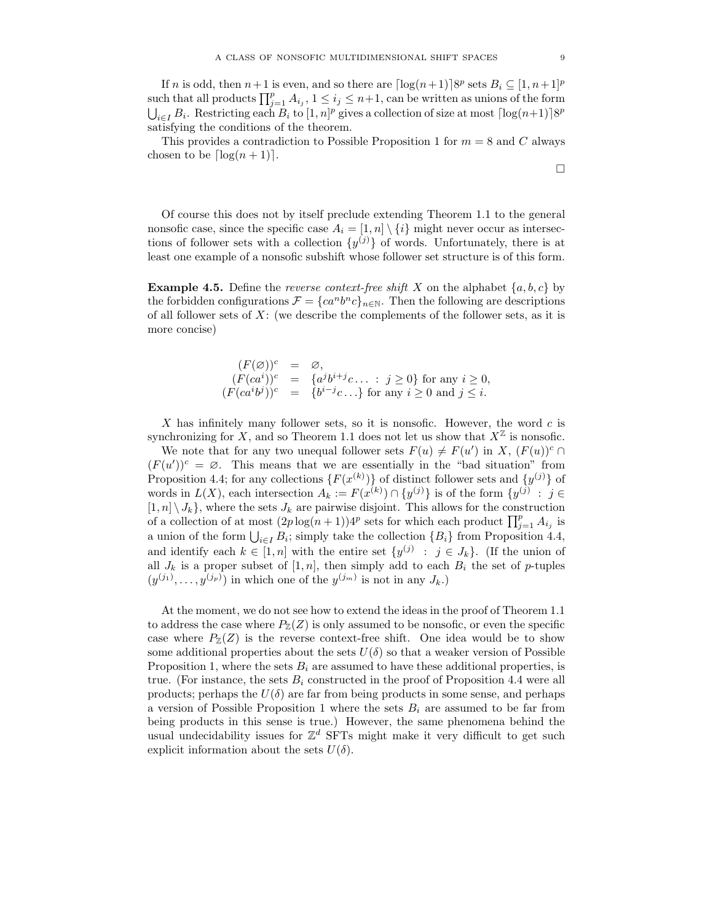If *n* is odd, then  $n+1$  is even, and so there are  $\lceil \log(n+1) \rceil 8^p$  sets  $B_i \subseteq [1, n+1]^p$ such that all products  $\prod_{j=1}^p A_{i_j}$ ,  $1 \leq i_j \leq n+1$ , can be written as unions of the form  $\bigcup_{i\in I} B_i$ . Restricting each  $B_i$  to  $[1, n]^p$  gives a collection of size at most  $\lceil \log(n+1) \rceil 8^p$ satisfying the conditions of the theorem.

This provides a contradiction to Possible Proposition 1 for  $m = 8$  and C always chosen to be  $\lceil \log(n + 1) \rceil$ .

Of course this does not by itself preclude extending Theorem 1.1 to the general nonsofic case, since the specific case  $A_i = [1, n] \setminus \{i\}$  might never occur as intersections of follower sets with a collection  $\{y^{(j)}\}$  of words. Unfortunately, there is at least one example of a nonsofic subshift whose follower set structure is of this form.

**Example 4.5.** Define the reverse context-free shift X on the alphabet  $\{a, b, c\}$  by the forbidden configurations  $\mathcal{F} = \{ca^n b^n c\}_{n \in \mathbb{N}}$ . Then the following are descriptions of all follower sets of  $X$ : (we describe the complements of the follower sets, as it is more concise)

$$
(F(\varnothing))^c = \varnothing,
$$
  
\n
$$
(F(ca^i))^c = \{a^j b^{i+j}c \dots : j \ge 0\} \text{ for any } i \ge 0,
$$
  
\n
$$
(F(ca^ib^j))^c = \{b^{i-j}c \dots \} \text{ for any } i \ge 0 \text{ and } j \le i.
$$

X has infinitely many follower sets, so it is nonsofic. However, the word  $c$  is synchronizing for X, and so Theorem 1.1 does not let us show that  $X^{\mathbb{Z}}$  is nonsofic.

We note that for any two unequal follower sets  $F(u) \neq F(u')$  in X,  $(F(u))<sup>c</sup> \cap$  $(F(u'))^c = \emptyset$ . This means that we are essentially in the "bad situation" from Proposition 4.4; for any collections  $\{F(x^{(k)})\}$  of distinct follower sets and  $\{y^{(j)}\}$  of words in  $L(X)$ , each intersection  $A_k := F(x^{(k)}) \cap \{y^{(j)}\}$  is of the form  $\{y^{(j)} : j \in$  $[1, n] \setminus J_k$ , where the sets  $J_k$  are pairwise disjoint. This allows for the construction of a collection of at most  $(2p \log(n+1))4^p$  sets for which each product  $\prod_{j=1}^p A_{i_j}$  is a union of the form  $\bigcup_{i\in I} B_i$ ; simply take the collection  $\{B_i\}$  from Proposition 4.4, and identify each  $k \in [1, n]$  with the entire set  $\{y^{(j)} : j \in J_k\}$ . (If the union of all  $J_k$  is a proper subset of  $[1, n]$ , then simply add to each  $B_i$  the set of p-tuples  $(y^{(j_1)},...,y^{(j_p)})$  in which one of the  $y^{(j_m)}$  is not in any  $J_k$ .)

At the moment, we do not see how to extend the ideas in the proof of Theorem 1.1 to address the case where  $P_{\mathbb{Z}}(Z)$  is only assumed to be nonsofic, or even the specific case where  $P_{\mathbb{Z}}(Z)$  is the reverse context-free shift. One idea would be to show some additional properties about the sets  $U(\delta)$  so that a weaker version of Possible Proposition 1, where the sets  $B_i$  are assumed to have these additional properties, is true. (For instance, the sets  $B_i$  constructed in the proof of Proposition 4.4 were all products; perhaps the  $U(\delta)$  are far from being products in some sense, and perhaps a version of Possible Proposition 1 where the sets  $B_i$  are assumed to be far from being products in this sense is true.) However, the same phenomena behind the usual undecidability issues for  $\mathbb{Z}^d$  SFTs might make it very difficult to get such explicit information about the sets  $U(\delta)$ .

 $\Box$